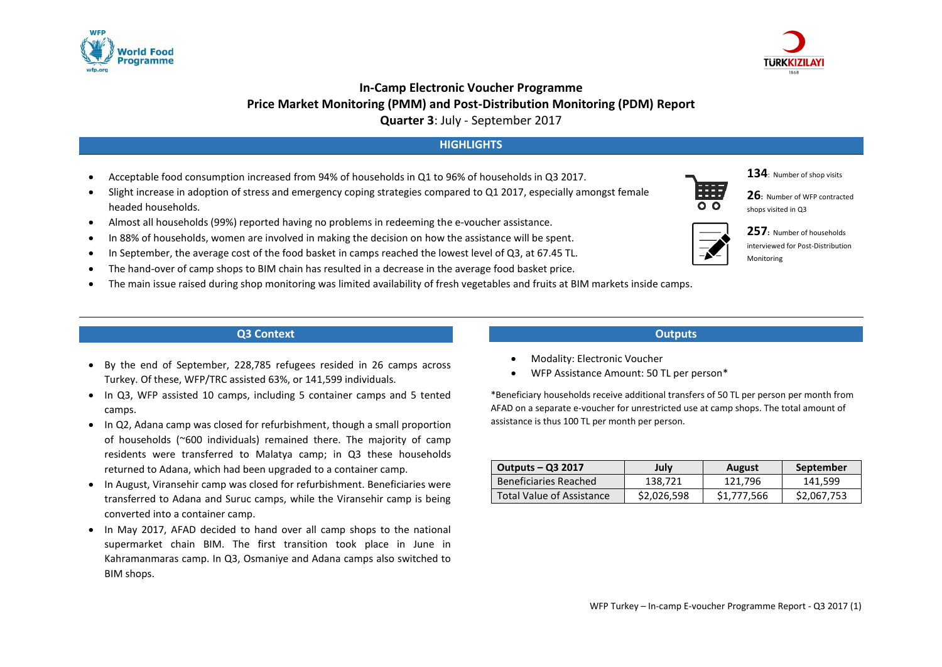



# **In-Camp Electronic Voucher Programme Price Market Monitoring (PMM) and Post-Distribution Monitoring (PDM) Report Quarter 3**: July - September 2017

# **HIGHLIGHTS**

- Acceptable food consumption increased from 94% of households in Q1 to 96% of households in Q3 2017.
- Slight increase in adoption of stress and emergency coping strategies compared to Q1 2017, especially amongst female headed households.
- Almost all households (99%) reported having no problems in redeeming the e-voucher assistance.
- In 88% of households, women are involved in making the decision on how the assistance will be spent.
- In September, the average cost of the food basket in camps reached the lowest level of Q3, at 67.45 TL.
- The hand-over of camp shops to BIM chain has resulted in a decrease in the average food basket price.
- The main issue raised during shop monitoring was limited availability of fresh vegetables and fruits at BIM markets inside camps.

## **Q3 Context**

- By the end of September, 228,785 refugees resided in 26 camps across Turkey. Of these, WFP/TRC assisted 63%, or 141,599 individuals.
- In Q3, WFP assisted 10 camps, including 5 container camps and 5 tented camps.
- In Q2, Adana camp was closed for refurbishment, though a small proportion of households (~600 individuals) remained there. The majority of camp residents were transferred to Malatya camp; in Q3 these households returned to Adana, which had been upgraded to a container camp.
- In August, Viransehir camp was closed for refurbishment. Beneficiaries were transferred to Adana and Suruc camps, while the Viransehir camp is being converted into a container camp.
- In May 2017, AFAD decided to hand over all camp shops to the national supermarket chain BIM. The first transition took place in June in Kahramanmaras camp. In Q3, Osmaniye and Adana camps also switched to BIM shops.

#### **Outputs**

- Modality: Electronic Voucher
- WFP Assistance Amount: 50 TL per person\*

\*Beneficiary households receive additional transfers of 50 TL per person per month from AFAD on a separate e-voucher for unrestricted use at camp shops. The total amount of assistance is thus 100 TL per month per person.

| <b>Outputs – Q3 2017</b>  | Julv        | August      | September   |
|---------------------------|-------------|-------------|-------------|
| Beneficiaries Reached     | 138.721     | 121.796     | 141.599     |
| Total Value of Assistance | \$2,026,598 | \$1,777,566 | \$2,067,753 |



**134**: Number of shop visits





**257:** Number of households interviewed for Post-Distribution Monitoring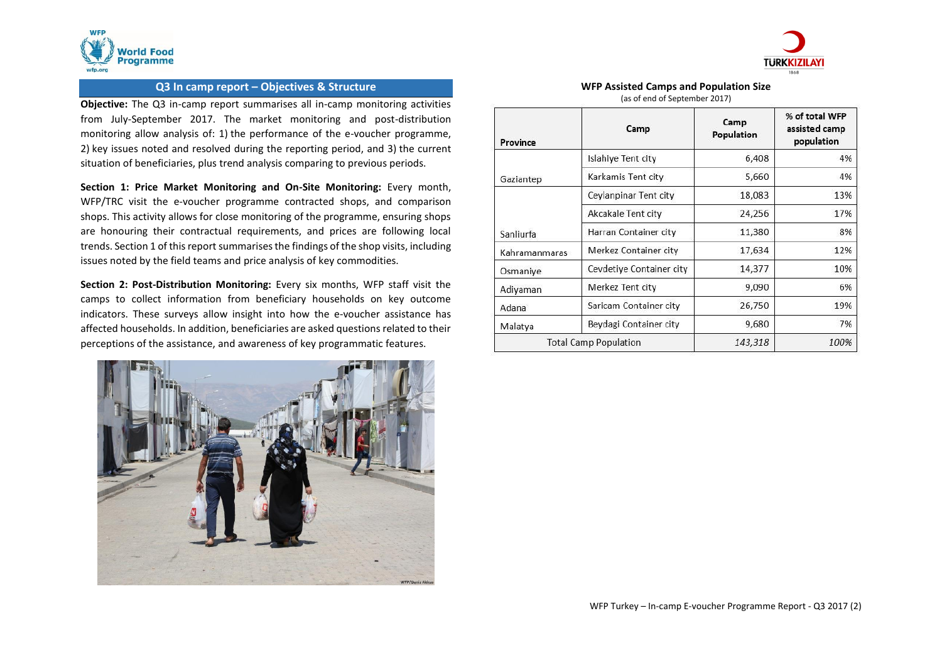



## **Q3 In camp report – Objectives & Structure**

**Objective:** The Q3 in-camp report summarises all in-camp monitoring activities from July-September 2017. The market monitoring and post-distribution monitoring allow analysis of: 1) the performance of the e-voucher programme, 2) key issues noted and resolved during the reporting period, and 3) the current situation of beneficiaries, plus trend analysis comparing to previous periods.

**Section 1: Price Market Monitoring and On-Site Monitoring:** Every month, WFP/TRC visit the e-voucher programme contracted shops, and comparison shops. This activity allows for close monitoring of the programme, ensuring shops are honouring their contractual requirements, and prices are following local trends. Section 1 of this report summarises the findings of the shop visits, including issues noted by the field teams and price analysis of key commodities.

**Section 2: Post-Distribution Monitoring:** Every six months, WFP staff visit the camps to collect information from beneficiary households on key outcome indicators. These surveys allow insight into how the e-voucher assistance has affected households. In addition, beneficiaries are asked questions related to their perceptions of the assistance, and awareness of key programmatic features.



#### **WFP Assisted Camps and Population Size** (as of end of September 2017)

| Province                     | Camp                     | Camp<br>Population | % of total WFP<br>assisted camp<br>population |
|------------------------------|--------------------------|--------------------|-----------------------------------------------|
|                              | Islahiye Tent city       | 6,408              | 4%                                            |
| Gaziantep                    | Karkamis Tent city       | 5,660              | 4%                                            |
|                              | Ceylanpinar Tent city    | 18,083             | 13%                                           |
|                              | Akcakale Tent city       | 24,256             | 17%                                           |
| Sanliurfa                    | Harran Container city    | 11,380             | 8%                                            |
| Kahramanmaras                | Merkez Container city    | 17,634             | 12%                                           |
| Osmaniye                     | Cevdetiye Container city | 14,377             | 10%                                           |
| Adiyaman                     | Merkez Tent city         | 9,090              | 6%                                            |
| Adana                        | Saricam Container city   | 26,750             | 19%                                           |
| Malatya                      | Beydagi Container city   | 9,680              | 7%                                            |
| <b>Total Camp Population</b> |                          | 143,318            | 100%                                          |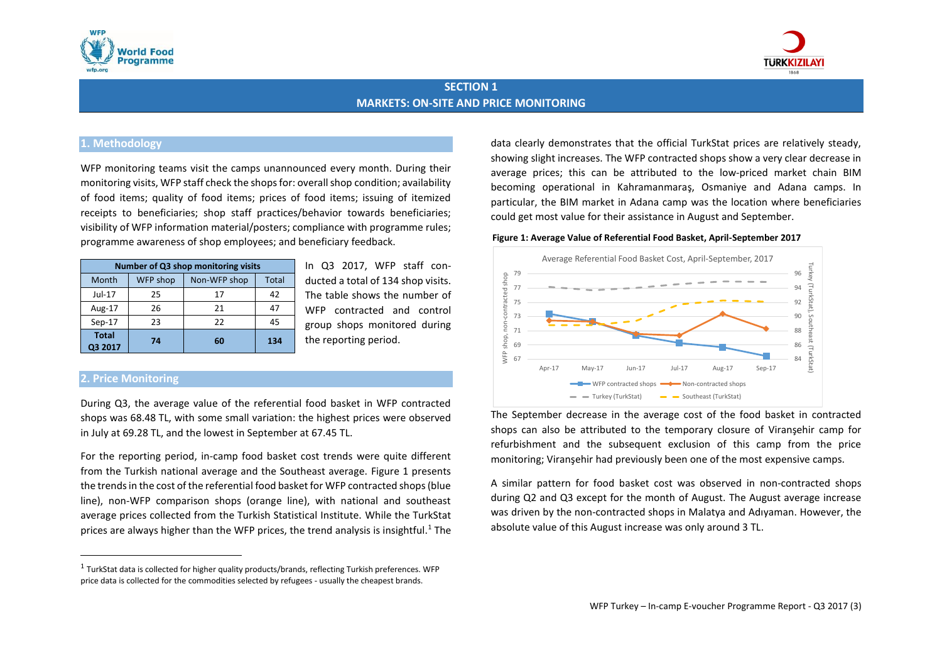



# **SECTION 1 MARKETS: ON-SITE AND PRICE MONITORING**

## **1. Methodology**

WFP monitoring teams visit the camps unannounced every month. During their monitoring visits, WFP staff check the shops for: overall shop condition; availability of food items; quality of food items; prices of food items; issuing of itemized receipts to beneficiaries; shop staff practices/behavior towards beneficiaries; visibility of WFP information material/posters; compliance with programme rules; programme awareness of shop employees; and beneficiary feedback.

| Number of Q3 shop monitoring visits |          |              |              |  |  |  |
|-------------------------------------|----------|--------------|--------------|--|--|--|
| Month                               | WFP shop | Non-WFP shop | <b>Total</b> |  |  |  |
| Jul-17                              | 25       | 17           | 42           |  |  |  |
| Aug-17                              | 26       | 21           | 47           |  |  |  |
| $Sep-17$                            | 23       | 22           | 45           |  |  |  |
| <b>Total</b><br>Q3 2017             | 74       | 60           | 134          |  |  |  |

In Q3 2017, WFP staff conducted a total of 134 shop visits. The table shows the number of WFP contracted and control group shops monitored during the reporting period.

## **2. Price Monitoring**

 $\overline{\phantom{a}}$ 

During Q3, the average value of the referential food basket in WFP contracted shops was 68.48 TL, with some small variation: the highest prices were observed in July at 69.28 TL, and the lowest in September at 67.45 TL.

For the reporting period, in-camp food basket cost trends were quite different from the Turkish national average and the Southeast average. Figure 1 presents the trends in the cost of the referential food basket for WFP contracted shops (blue line), non-WFP comparison shops (orange line), with national and southeast average prices collected from the Turkish Statistical Institute. While the TurkStat prices are always higher than the WFP prices, the trend analysis is insightful.<sup>1</sup> The data clearly demonstrates that the official TurkStat prices are relatively steady, showing slight increases. The WFP contracted shops show a very clear decrease in average prices; this can be attributed to the low-priced market chain BIM becoming operational in Kahramanmaraş, Osmaniye and Adana camps. In particular, the BIM market in Adana camp was the location where beneficiaries could get most value for their assistance in August and September.

#### **Figure 1: Average Value of Referential Food Basket, April-September 2017**



The September decrease in the average cost of the food basket in contracted shops can also be attributed to the temporary closure of Viranşehir camp for refurbishment and the subsequent exclusion of this camp from the price monitoring; Viranşehir had previously been one of the most expensive camps.

A similar pattern for food basket cost was observed in non-contracted shops during Q2 and Q3 except for the month of August. The August average increase was driven by the non-contracted shops in Malatya and Adıyaman. However, the absolute value of this August increase was only around 3 TL.

 $^1$  TurkStat data is collected for higher quality products/brands, reflecting Turkish preferences. WFP price data is collected for the commodities selected by refugees - usually the cheapest brands.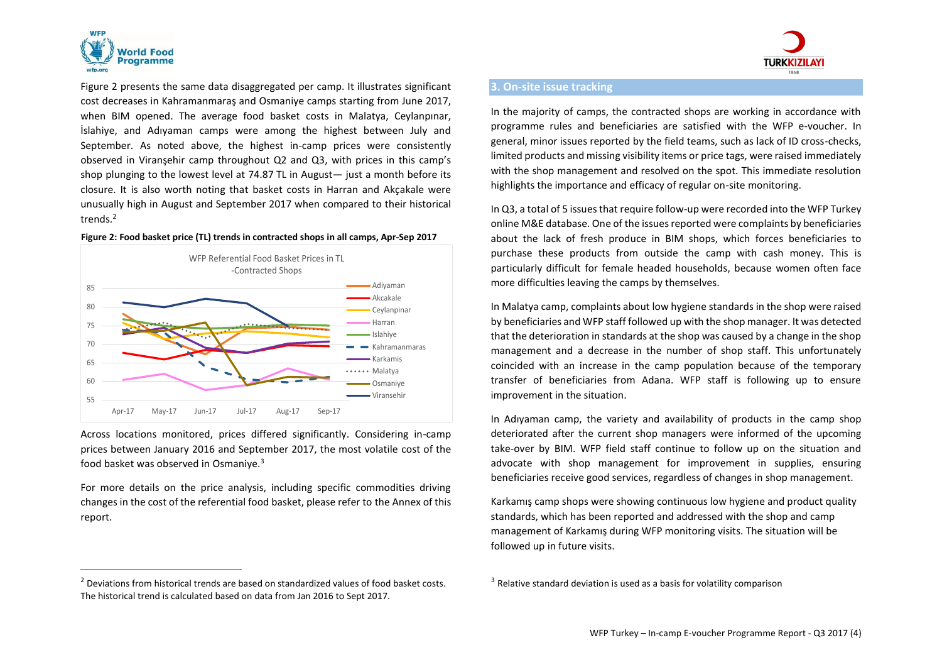

 $\overline{a}$ 

Figure 2 presents the same data disaggregated per camp. It illustrates significant cost decreases in Kahramanmaraş and Osmaniye camps starting from June 2017, when BIM opened. The average food basket costs in Malatya, Ceylanpınar, İslahiye, and Adıyaman camps were among the highest between July and September. As noted above, the highest in-camp prices were consistently observed in Viranşehir camp throughout Q2 and Q3, with prices in this camp's shop plunging to the lowest level at 74.87 TL in August— just a month before its closure. It is also worth noting that basket costs in Harran and Akçakale were unusually high in August and September 2017 when compared to their historical trends.<sup>2</sup>

#### **Figure 2: Food basket price (TL) trends in contracted shops in all camps, Apr-Sep 2017**



Across locations monitored, prices differed significantly. Considering in-camp prices between January 2016 and September 2017, the most volatile cost of the food basket was observed in Osmaniye.<sup>3</sup>

For more details on the price analysis, including specific commodities driving changes in the cost of the referential food basket, please refer to the Annex of this report.

 $2$  Deviations from historical trends are based on standardized values of food basket costs. The historical trend is calculated based on data from Jan 2016 to Sept 2017.



#### **3. On-site issue tracking**

In the majority of camps, the contracted shops are working in accordance with programme rules and beneficiaries are satisfied with the WFP e-voucher. In general, minor issues reported by the field teams, such as lack of ID cross-checks, limited products and missing visibility items or price tags, were raised immediately with the shop management and resolved on the spot. This immediate resolution highlights the importance and efficacy of regular on-site monitoring.

In Q3, a total of 5 issuesthat require follow-up were recorded into the WFP Turkey online M&E database. One of the issues reported were complaints by beneficiaries about the lack of fresh produce in BIM shops, which forces beneficiaries to purchase these products from outside the camp with cash money. This is particularly difficult for female headed households, because women often face more difficulties leaving the camps by themselves.

In Malatya camp, complaints about low hygiene standards in the shop were raised by beneficiaries and WFP staff followed up with the shop manager. It was detected that the deterioration in standards at the shop was caused by a change in the shop management and a decrease in the number of shop staff. This unfortunately coincided with an increase in the camp population because of the temporary transfer of beneficiaries from Adana. WFP staff is following up to ensure improvement in the situation.

In Adıyaman camp, the variety and availability of products in the camp shop deteriorated after the current shop managers were informed of the upcoming take-over by BIM. WFP field staff continue to follow up on the situation and advocate with shop management for improvement in supplies, ensuring beneficiaries receive good services, regardless of changes in shop management.

Karkamış camp shops were showing continuous low hygiene and product quality standards, which has been reported and addressed with the shop and camp management of Karkamış during WFP monitoring visits. The situation will be followed up in future visits.

 $3$  Relative standard deviation is used as a basis for volatility comparison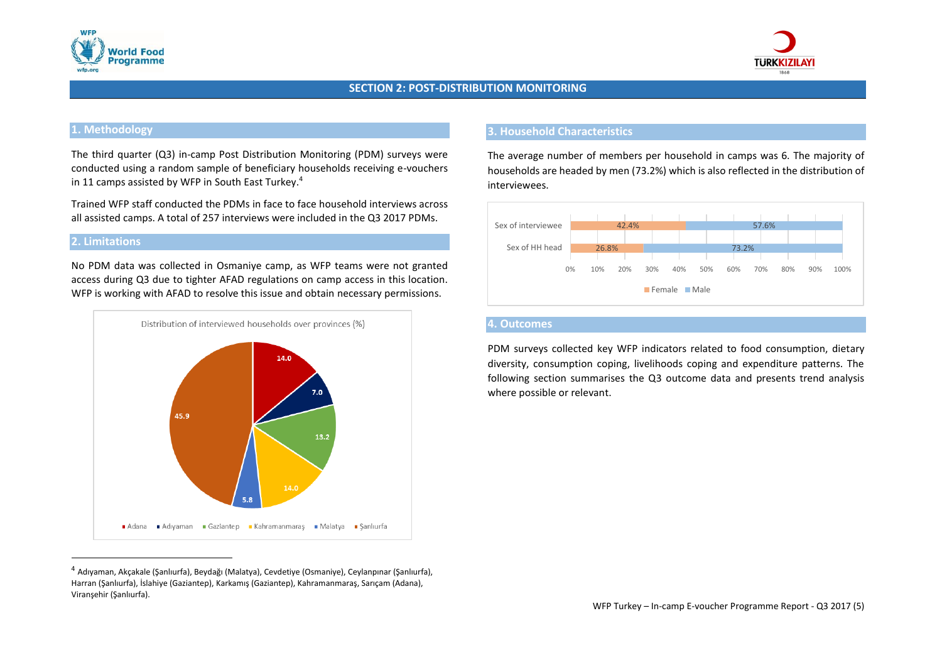



## **SECTION 2: POST-DISTRIBUTION MONITORING**

# **1. Methodology**

The third quarter (Q3) in-camp Post Distribution Monitoring (PDM) surveys were conducted using a random sample of beneficiary households receiving e-vouchers in 11 camps assisted by WFP in South East Turkey. 4

Trained WFP staff conducted the PDMs in face to face household interviews across all assisted camps. A total of 257 interviews were included in the Q3 2017 PDMs.

## **2. Limitations**

Viranşehir (Şanlıurfa).

No PDM data was collected in Osmaniye camp, as WFP teams were not granted access during Q3 due to tighter AFAD regulations on camp access in this location. WFP is working with AFAD to resolve this issue and obtain necessary permissions.



<sup>4</sup> Adıyaman, Akçakale (Şanlıurfa), Beydağı (Malatya), Cevdetiye (Osmaniye), Ceylanpınar (Şanlıurfa), Harran (Şanlıurfa), İslahiye (Gaziantep), Karkamış (Gaziantep), Kahramanmaraş, Sarıçam (Adana),

### **3. Household Characteristics**

The average number of members per household in camps was 6. The majority of households are headed by men (73.2%) which is also reflected in the distribution of interviewees.



## **4. Outcomes**

PDM surveys collected key WFP indicators related to food consumption, dietary diversity, consumption coping, livelihoods coping and expenditure patterns. The following section summarises the Q3 outcome data and presents trend analysis where possible or relevant.

WFP Turkey – In-camp E-voucher Programme Report - Q3 2017 (5)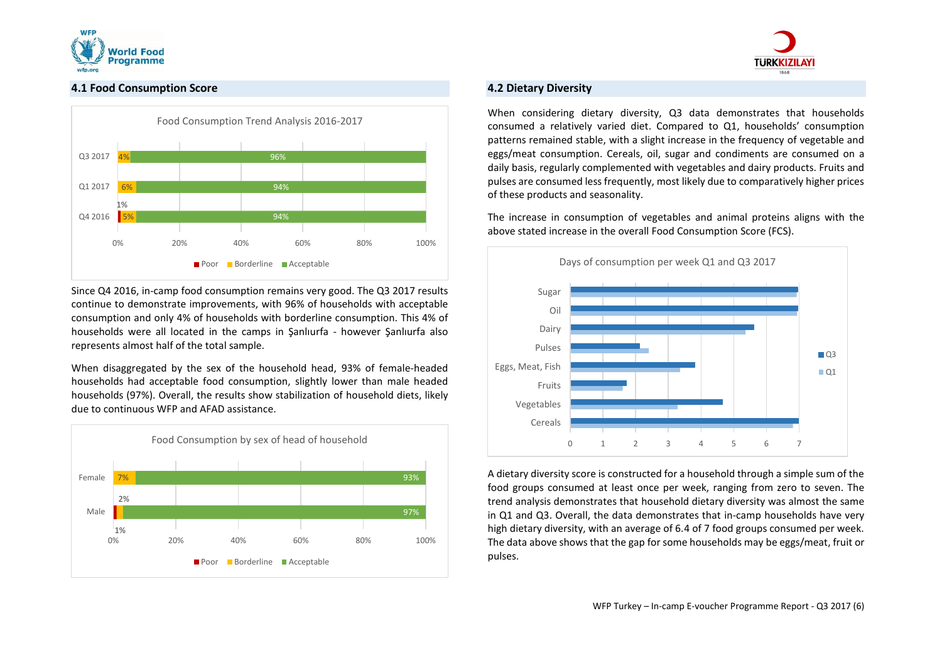



## **4.1 Food Consumption Score**



Since Q4 2016, in-camp food consumption remains very good. The Q3 2017 results continue to demonstrate improvements, with 96% of households with acceptable consumption and only 4% of households with borderline consumption. This 4% of households were all located in the camps in Şanlıurfa - however Şanlıurfa also represents almost half of the total sample.

When disaggregated by the sex of the household head, 93% of female-headed households had acceptable food consumption, slightly lower than male headed households (97%). Overall, the results show stabilization of household diets, likely due to continuous WFP and AFAD assistance.



## **4.2 Dietary Diversity**

When considering dietary diversity, Q3 data demonstrates that households consumed a relatively varied diet. Compared to Q1, households' consumption patterns remained stable, with a slight increase in the frequency of vegetable and eggs/meat consumption. Cereals, oil, sugar and condiments are consumed on a daily basis, regularly complemented with vegetables and dairy products. Fruits and pulses are consumed less frequently, most likely due to comparatively higher prices of these products and seasonality.

The increase in consumption of vegetables and animal proteins aligns with the above stated increase in the overall Food Consumption Score (FCS).



A dietary diversity score is constructed for a household through a simple sum of the food groups consumed at least once per week, ranging from zero to seven. The trend analysis demonstrates that household dietary diversity was almost the same in Q1 and Q3. Overall, the data demonstrates that in-camp households have very high dietary diversity, with an average of 6.4 of 7 food groups consumed per week. The data above shows that the gap for some households may be eggs/meat, fruit or pulses.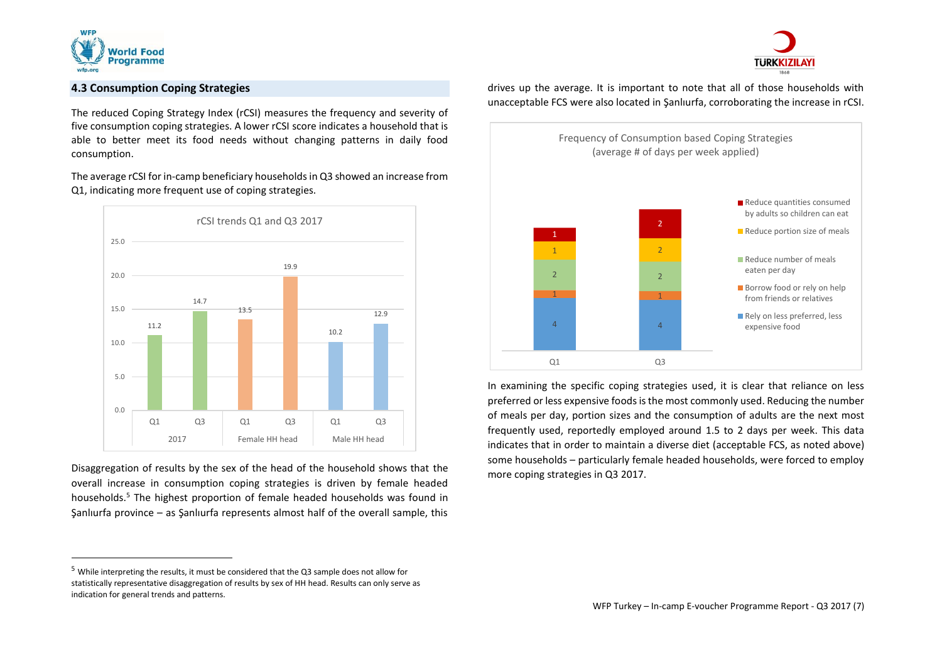

 $\overline{a}$ 



# **4.3 Consumption Coping Strategies**

The reduced Coping Strategy Index (rCSI) measures the frequency and severity of five consumption coping strategies. A lower rCSI score indicates a household that is able to better meet its food needs without changing patterns in daily food consumption.

The average rCSI for in-camp beneficiary households in Q3 showed an increase from Q1, indicating more frequent use of coping strategies.



Disaggregation of results by the sex of the head of the household shows that the overall increase in consumption coping strategies is driven by female headed households.<sup>5</sup> The highest proportion of female headed households was found in Şanlıurfa province – as Şanlıurfa represents almost half of the overall sample, this drives up the average. It is important to note that all of those households with unacceptable FCS were also located in Şanlıurfa, corroborating the increase in rCSI.



In examining the specific coping strategies used, it is clear that reliance on less preferred or less expensive foods is the most commonly used. Reducing the number of meals per day, portion sizes and the consumption of adults are the next most frequently used, reportedly employed around 1.5 to 2 days per week. This data indicates that in order to maintain a diverse diet (acceptable FCS, as noted above) some households – particularly female headed households, were forced to employ more coping strategies in Q3 2017.

<sup>&</sup>lt;sup>5</sup> While interpreting the results, it must be considered that the Q3 sample does not allow for statistically representative disaggregation of results by sex of HH head. Results can only serve as indication for general trends and patterns.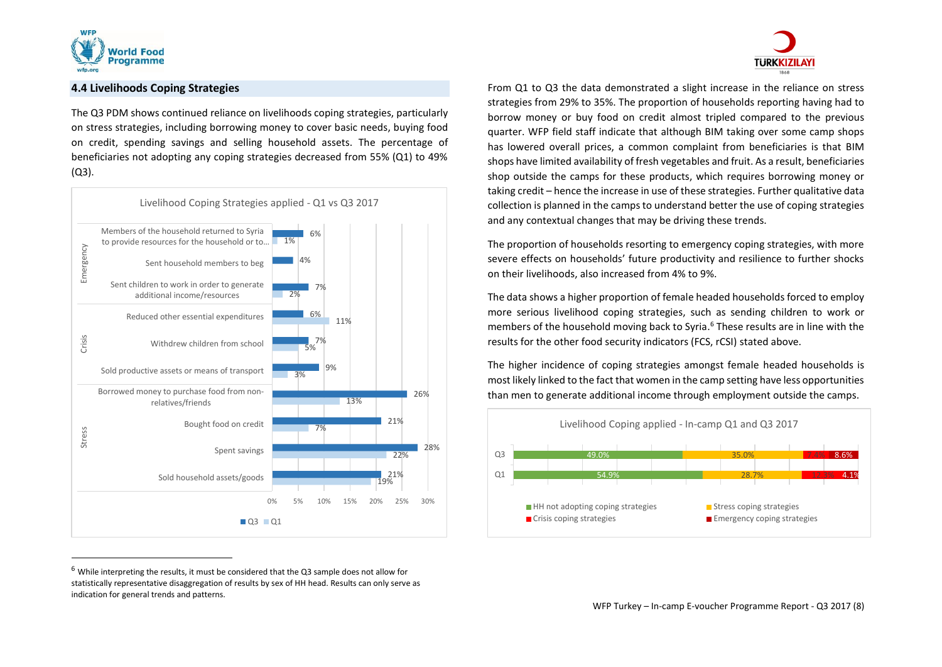

 $\overline{a}$ 

#### **4.4 Livelihoods Coping Strategies**

The Q3 PDM shows continued reliance on livelihoods coping strategies, particularly on stress strategies, including borrowing money to cover basic needs, buying food on credit, spending savings and selling household assets. The percentage of beneficiaries not adopting any coping strategies decreased from 55% (Q1) to 49% (Q3).



 $6$  While interpreting the results, it must be considered that the Q3 sample does not allow for statistically representative disaggregation of results by sex of HH head. Results can only serve as indication for general trends and patterns.



From Q1 to Q3 the data demonstrated a slight increase in the reliance on stress strategies from 29% to 35%. The proportion of households reporting having had to borrow money or buy food on credit almost tripled compared to the previous quarter. WFP field staff indicate that although BIM taking over some camp shops has lowered overall prices, a common complaint from beneficiaries is that BIM shops have limited availability of fresh vegetables and fruit. As a result, beneficiaries shop outside the camps for these products, which requires borrowing money or taking credit – hence the increase in use of these strategies. Further qualitative data collection is planned in the camps to understand better the use of coping strategies and any contextual changes that may be driving these trends.

The proportion of households resorting to emergency coping strategies, with more severe effects on households' future productivity and resilience to further shocks on their livelihoods, also increased from 4% to 9%.

The data shows a higher proportion of female headed households forced to employ more serious livelihood coping strategies, such as sending children to work or members of the household moving back to Syria. <sup>6</sup> These results are in line with the results for the other food security indicators (FCS, rCSI) stated above.

The higher incidence of coping strategies amongst female headed households is most likely linked to the fact that women in the camp setting have less opportunities than men to generate additional income through employment outside the camps.

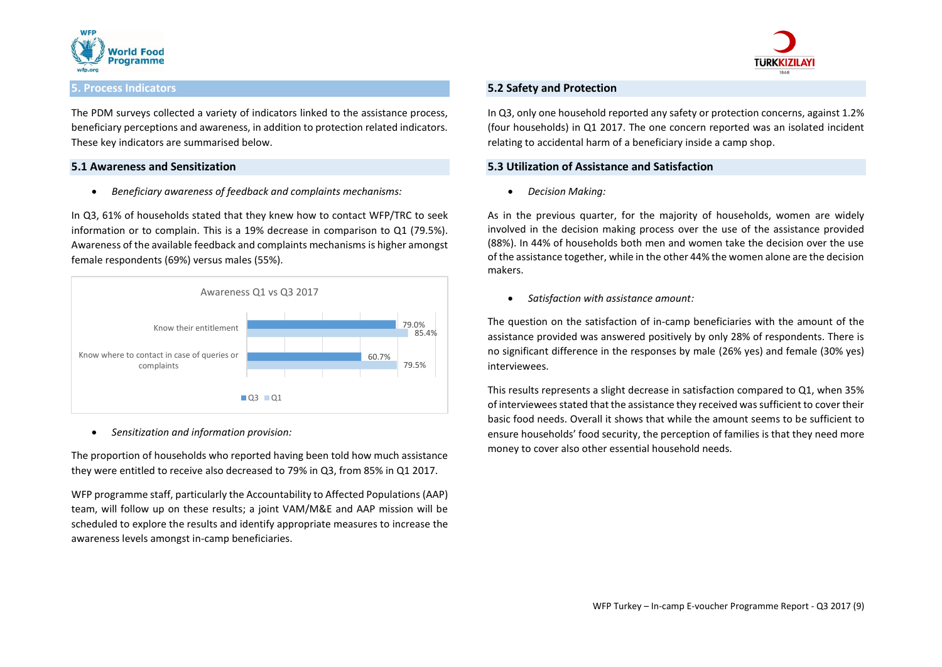



#### **5. Process Indicators**

The PDM surveys collected a variety of indicators linked to the assistance process, beneficiary perceptions and awareness, in addition to protection related indicators. These key indicators are summarised below.

#### **5.1 Awareness and Sensitization**

*Beneficiary awareness of feedback and complaints mechanisms:*

In Q3, 61% of households stated that they knew how to contact WFP/TRC to seek information or to complain. This is a 19% decrease in comparison to Q1 (79.5%). Awareness of the available feedback and complaints mechanisms is higher amongst female respondents (69%) versus males (55%).



*Sensitization and information provision:* 

The proportion of households who reported having been told how much assistance they were entitled to receive also decreased to 79% in Q3, from 85% in Q1 2017.

WFP programme staff, particularly the Accountability to Affected Populations (AAP) team, will follow up on these results; a joint VAM/M&E and AAP mission will be scheduled to explore the results and identify appropriate measures to increase the awareness levels amongst in-camp beneficiaries.

#### **5.2 Safety and Protection**

In Q3, only one household reported any safety or protection concerns, against 1.2% (four households) in Q1 2017. The one concern reported was an isolated incident relating to accidental harm of a beneficiary inside a camp shop.

#### **5.3 Utilization of Assistance and Satisfaction**

*Decision Making:* 

As in the previous quarter, for the majority of households, women are widely involved in the decision making process over the use of the assistance provided (88%). In 44% of households both men and women take the decision over the use of the assistance together, while in the other 44% the women alone are the decision makers.

*Satisfaction with assistance amount:* 

The question on the satisfaction of in-camp beneficiaries with the amount of the assistance provided was answered positively by only 28% of respondents. There is no significant difference in the responses by male (26% yes) and female (30% yes) interviewees.

This results represents a slight decrease in satisfaction compared to Q1, when 35% of interviewees stated that the assistance they received was sufficient to cover their basic food needs. Overall it shows that while the amount seems to be sufficient to ensure households' food security, the perception of families is that they need more money to cover also other essential household needs.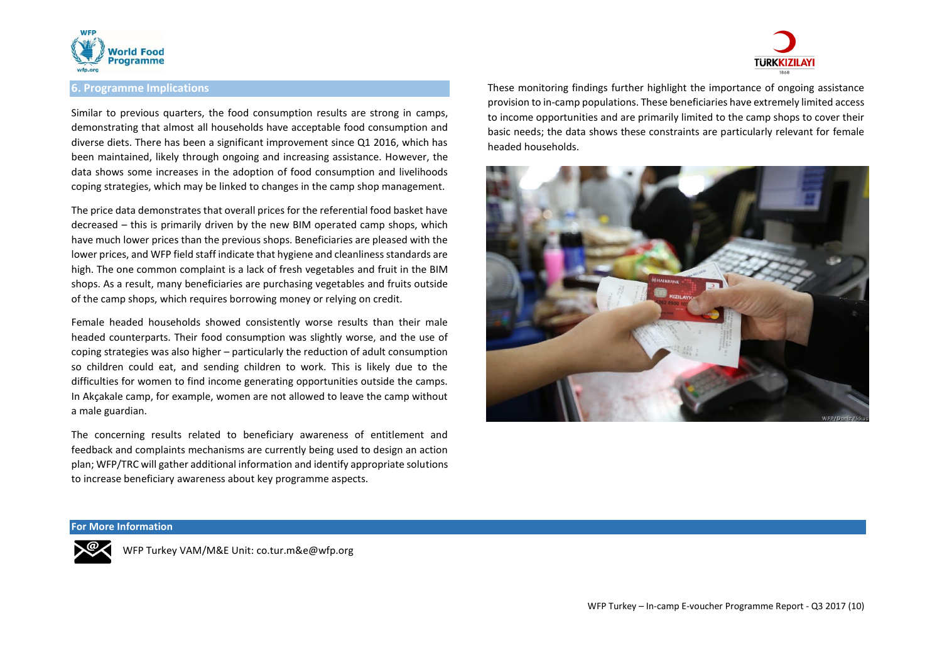

## **6. Programme Implications**

Similar to previous quarters, the food consumption results are strong in camps, demonstrating that almost all households have acceptable food consumption and diverse diets. There has been a significant improvement since Q1 2016, which has been maintained, likely through ongoing and increasing assistance. However, the data shows some increases in the adoption of food consumption and livelihoods coping strategies, which may be linked to changes in the camp shop management.

The price data demonstrates that overall prices for the referential food basket have decreased – this is primarily driven by the new BIM operated camp shops, which have much lower prices than the previous shops. Beneficiaries are pleased with the lower prices, and WFP field staff indicate that hygiene and cleanliness standards are high. The one common complaint is a lack of fresh vegetables and fruit in the BIM shops. As a result, many beneficiaries are purchasing vegetables and fruits outside of the camp shops, which requires borrowing money or relying on credit.

Female headed households showed consistently worse results than their male headed counterparts. Their food consumption was slightly worse, and the use of coping strategies was also higher – particularly the reduction of adult consumption so children could eat, and sending children to work. This is likely due to the difficulties for women to find income generating opportunities outside the camps. In Akçakale camp, for example, women are not allowed to leave the camp without a male guardian.

The concerning results related to beneficiary awareness of entitlement and feedback and complaints mechanisms are currently being used to design an action plan; WFP/TRC will gather additional information and identify appropriate solutions to increase beneficiary awareness about key programme aspects.



These monitoring findings further highlight the importance of ongoing assistance provision to in-camp populations. These beneficiaries have extremely limited access to income opportunities and are primarily limited to the camp shops to cover their basic needs; the data shows these constraints are particularly relevant for female headed households.



#### **For More Information**



WFP Turkey VAM/M&E Unit: co.tur.m&e@wfp.org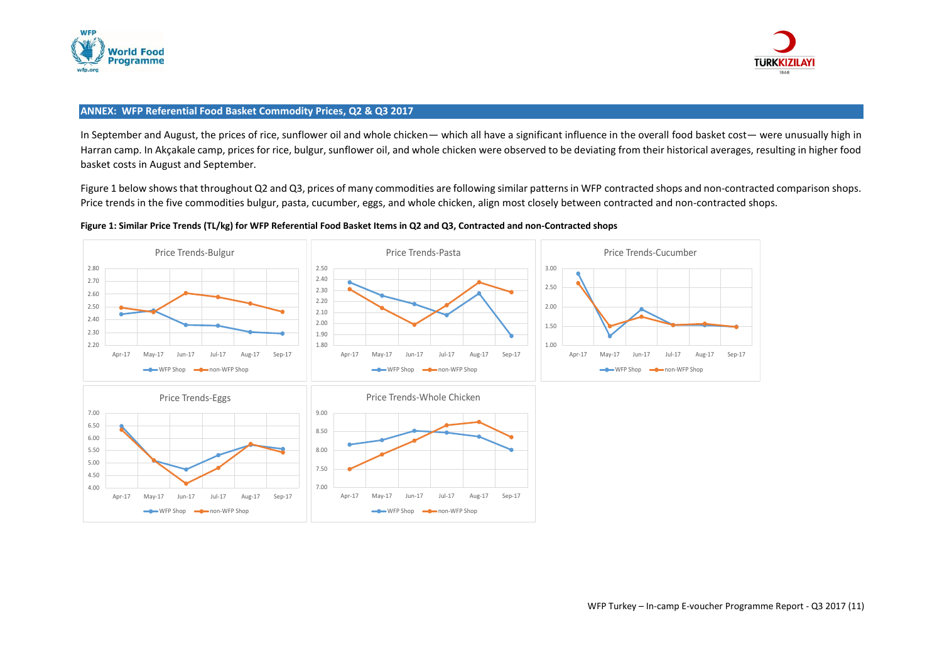



### **ANNEX: WFP Referential Food Basket Commodity Prices, Q2 & Q3 2017**

In September and August, the prices of rice, sunflower oil and whole chicken— which all have a significant influence in the overall food basket cost— were unusually high in Harran camp. In Akçakale camp, prices for rice, bulgur, sunflower oil, and whole chicken were observed to be deviating from their historical averages, resulting in higher food basket costs in August and September.

Figure 1 below shows that throughout Q2 and Q3, prices of many commodities are following similar patterns in WFP contracted shops and non-contracted comparison shops. Price trends in the five commodities bulgur, pasta, cucumber, eggs, and whole chicken, align most closely between contracted and non-contracted shops.



### **Figure 1: Similar Price Trends (TL/kg) for WFP Referential Food Basket Items in Q2 and Q3, Contracted and non-Contracted shops**